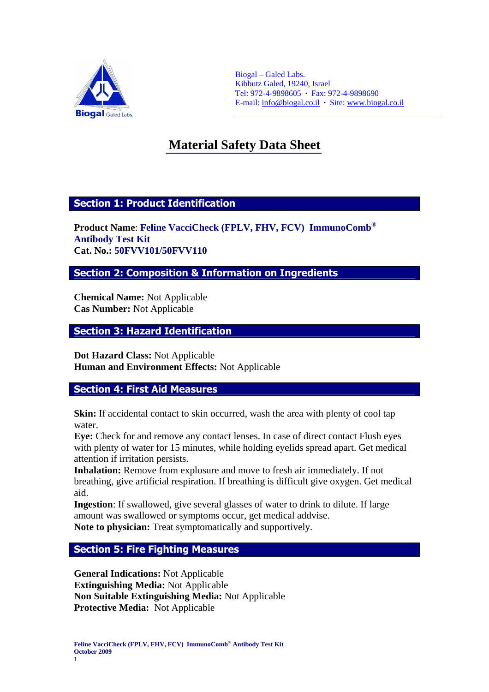

Biogal – Galed Labs. Kibbutz Galed, 19240, Israel Tel: 972-4-9898605 **·** Fax: 972-4-9898690 E-mail: info@biogal.co.il **·** Site: www.biogal.co.il

# **Material Safety Data Sheet** Ĩ

 $\overline{a}$ 

## Section 1: Product Identification

**Product Name**: **Feline VacciCheck (FPLV, FHV, FCV) ImmunoComb® Antibody Test Kit Cat. No.: 50FVV101/50FVV110**

Section 2: Composition & Information on Ingredients

**Chemical Name:** Not Applicable **Cas Number:** Not Applicable

## Section 3: Hazard Identification

**Dot Hazard Class:** Not Applicable **Human and Environment Effects:** Not Applicable

## Section 4: First Aid Measures

**Skin:** If accidental contact to skin occurred, wash the area with plenty of cool tap water.

**Eye:** Check for and remove any contact lenses. In case of direct contact Flush eyes with plenty of water for 15 minutes, while holding eyelids spread apart. Get medical attention if irritation persists.

**Inhalation:** Remove from explosure and move to fresh air immediately. If not breathing, give artificial respiration. If breathing is difficult give oxygen. Get medical aid.

**Ingestion**: If swallowed, give several glasses of water to drink to dilute. If large amount was swallowed or symptoms occur, get medical addvise. **Note to physician:** Treat symptomatically and supportively.

## Section 5: Fire Fighting Measures

**General Indications:** Not Applicable **Extinguishing Media:** Not Applicable **Non Suitable Extinguishing Media:** Not Applicable **Protective Media:** Not Applicable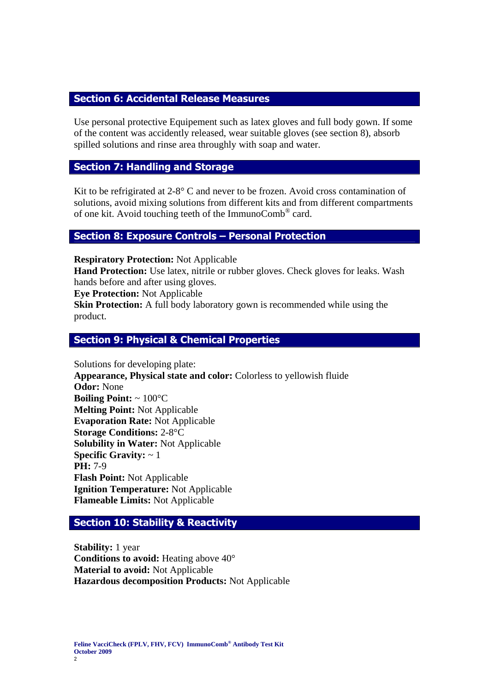## Section 6: Accidental Release Measures

Use personal protective Equipement such as latex gloves and full body gown. If some of the content was accidently released, wear suitable gloves (see section 8), absorb spilled solutions and rinse area throughly with soap and water.

## Section 7: Handling and Storage

Kit to be refrigirated at  $2-8^\circ$  C and never to be frozen. Avoid cross contamination of solutions, avoid mixing solutions from different kits and from different compartments of one kit. Avoid touching teeth of the ImmunoComb® card.

## Section 8: Exposure Controls – Personal Protection

**Respiratory Protection:** Not Applicable

**Hand Protection:** Use latex, nitrile or rubber gloves. Check gloves for leaks. Wash hands before and after using gloves.

**Eye Protection:** Not Applicable

**Skin Protection:** A full body laboratory gown is recommended while using the product.

#### Section 9: Physical & Chemical Properties

Solutions for developing plate: **Appearance, Physical state and color:** Colorless to yellowish fluide **Odor:** None **Boiling Point:** ~ 100°C **Melting Point:** Not Applicable **Evaporation Rate:** Not Applicable **Storage Conditions:** 2-8°C **Solubility in Water:** Not Applicable **Specific Gravity:** ~ 1 **PH:** 7-9 **Flash Point:** Not Applicable **Ignition Temperature:** Not Applicable **Flameable Limits:** Not Applicable

## Section 10: Stability & Reactivity

**Stability:** 1 year **Conditions to avoid:** Heating above 40° **Material to avoid:** Not Applicable **Hazardous decomposition Products:** Not Applicable